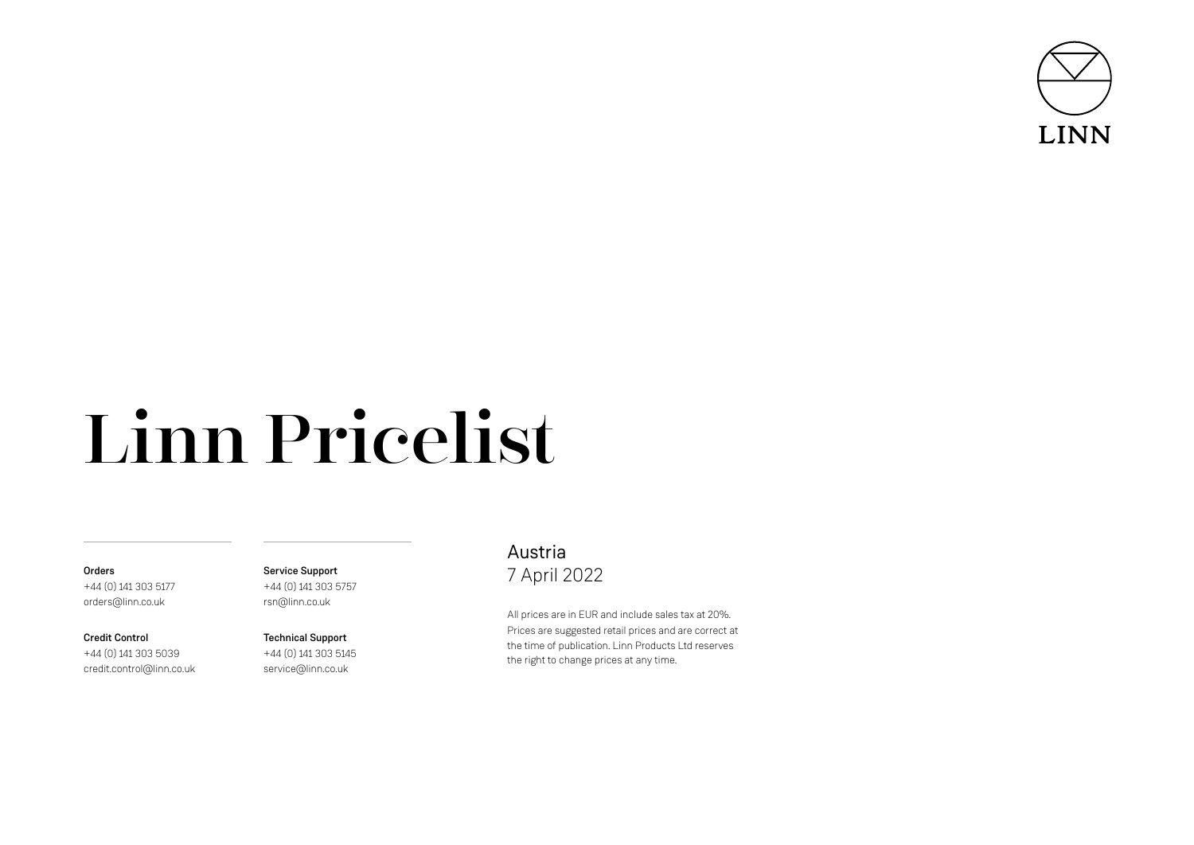

# Linn Pricelist

### **Orders** +44 (0) 141 303 5177 orders@linn.co.uk

Credit Control +44 (0) 141 303 5039 credit.control@linn.co.uk Service Support +44 (0) 141 303 5757 rsn@linn.co.uk

Technical Support +44 (0) 141 303 5145 service@linn.co.uk

## Austria 7 April 2022

All prices are in EUR and include sales tax at 20%. Prices are suggested retail prices and are correct at the time of publication. Linn Products Ltd reserves the right to change prices at any time.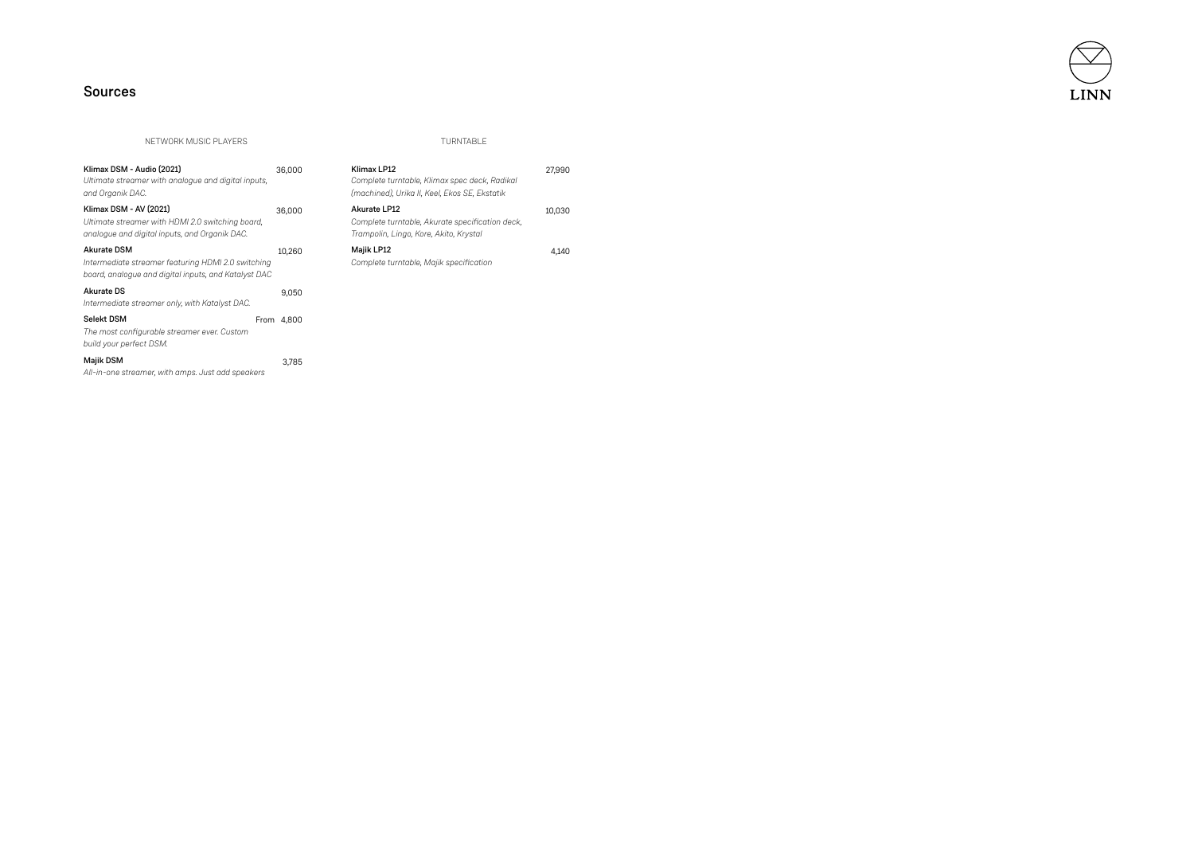

## Sources

NETWORK MUSIC PLAYERS TURNTABLE

| Klimax DSM - Audio (2021)<br>Ultimate streamer with analogue and digital inputs,<br>and Organik DAC.                             | 36,000     | Klimax LP12<br>Complete turntable, Klimax spec deck, Radikal<br>(machined), Urika II, Keel, Ekos SE, Ekstatik | 27,990 |
|----------------------------------------------------------------------------------------------------------------------------------|------------|---------------------------------------------------------------------------------------------------------------|--------|
| Klimax DSM - AV (2021)<br>Ultimate streamer with HDMI 2.0 switching board,<br>analogue and digital inputs, and Organik DAC.      | 36,000     | Akurate LP12<br>Complete turntable, Akurate specification deck,<br>Trampolin, Lingo, Kore, Akito, Krystal     | 10.030 |
| <b>Akurate DSM</b><br>Intermediate streamer featuring HDMI 2.0 switching<br>board, analogue and digital inputs, and Katalyst DAC | 10.260     | Majik LP12<br>Complete turntable, Majik specification                                                         | 4.140  |
| Akurate DS<br>Intermediate streamer only, with Katalyst DAC.                                                                     | 9.050      |                                                                                                               |        |
| <b>Selekt DSM</b><br>The most configurable streamer ever. Custom<br>build your perfect DSM.                                      | From 4.800 |                                                                                                               |        |
| <b>Majik DSM</b><br>All-in-one streamer, with amps. Just add speakers                                                            | 3.785      |                                                                                                               |        |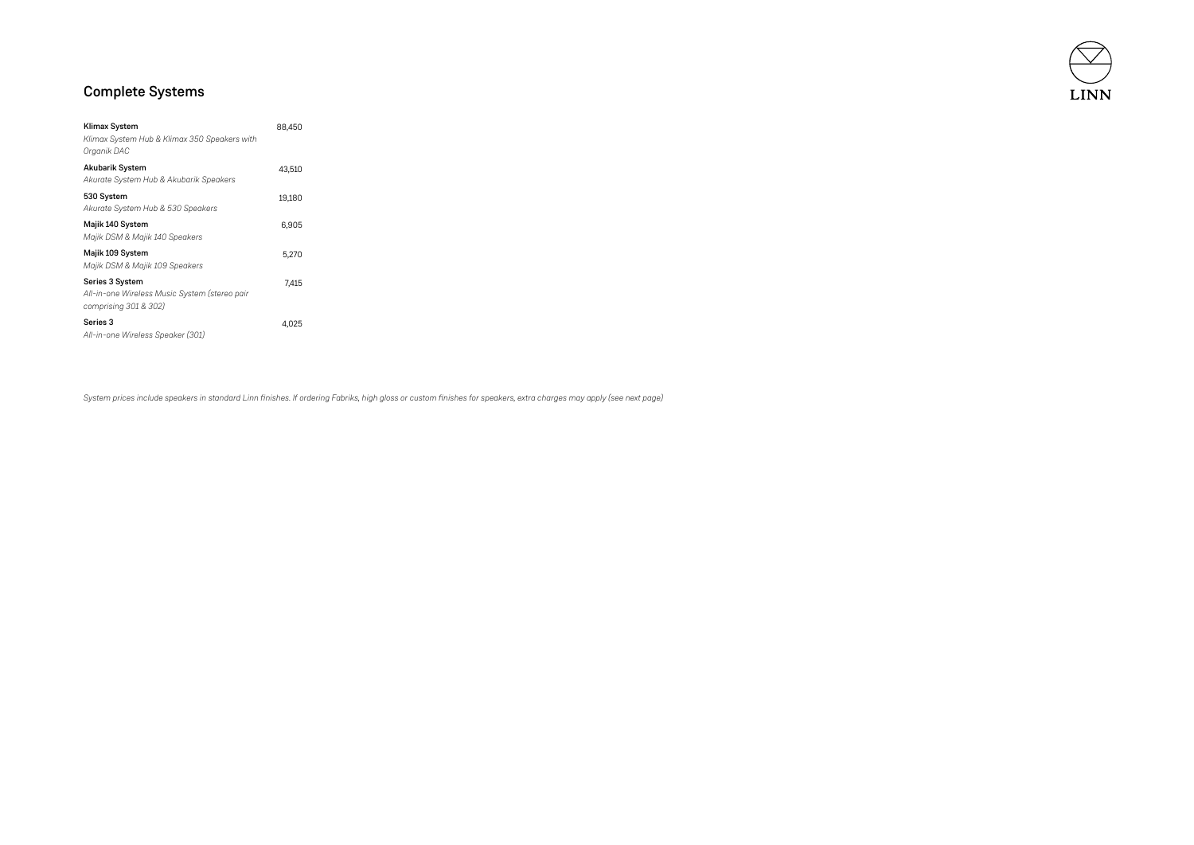

## Complete Systems

| Klimax System<br>Klimax System Hub & Klimax 350 Speakers with<br>Organik DAC              | 88,450 |  |
|-------------------------------------------------------------------------------------------|--------|--|
| Akubarik System<br>Akurate System Hub & Akubarik Speakers                                 | 43,510 |  |
| 530 System<br>Akurate System Hub & 530 Speakers                                           | 19,180 |  |
| Majik 140 System<br>Majik DSM & Majik 140 Speakers                                        | 6.905  |  |
| Majik 109 System<br>Majik DSM & Majik 109 Speakers                                        | 5.270  |  |
| Series 3 System<br>All-in-one Wireless Music System (stereo pair<br>comprising 301 & 302) | 7.415  |  |
| Series 3<br>All-in-one Wireless Speaker (301)                                             | 4.025  |  |

*System prices include speakers in standard Linn finishes. If ordering Fabriks, high gloss or custom finishes for speakers, extra charges may apply (see next page)*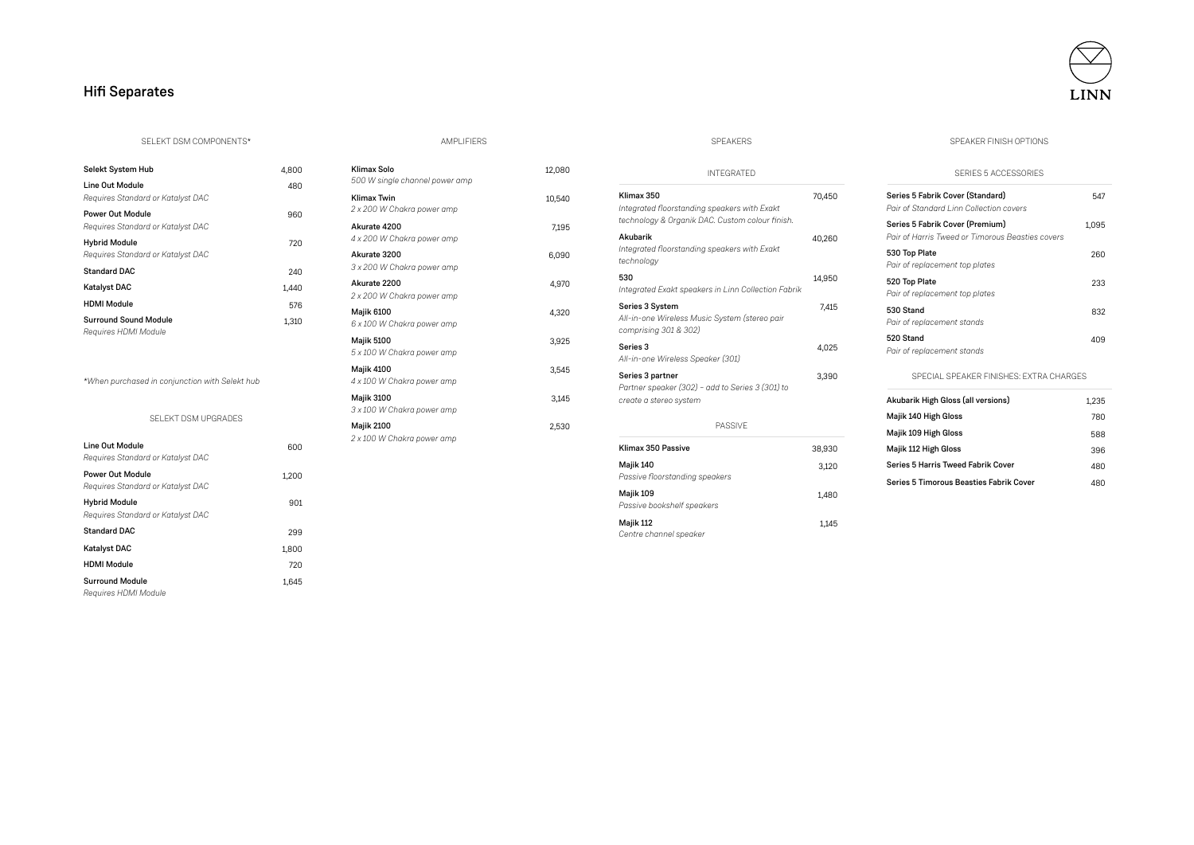## Hi fi Separates



#### SELEKT DSM COMPONENTS\*

| Selekt System Hub                                    | 4,800 |
|------------------------------------------------------|-------|
| Line Out Module                                      | 480   |
| Requires Standard or Katalyst DAC                    |       |
| Power Out Module                                     | 960   |
| Requires Standard or Katalyst DAC                    |       |
| <b>Hybrid Module</b>                                 | 720   |
| Requires Standard or Katalyst DAC                    |       |
| Standard DAC                                         | 240   |
| Katalyst DAC                                         | 1.440 |
| <b>HDMI Module</b>                                   | 576   |
| <b>Surround Sound Module</b><br>Reauires HDMI Module | 1.310 |

*\*When purchased in conjunction with Selekt hub* 

SELEKT DSM UPGRADE S

| Line Out Module<br>Requires Standard or Katalyst DAC      | 600   |
|-----------------------------------------------------------|-------|
| Power Out Module<br>Requires Standard or Katalyst DAC     | 1.200 |
| <b>Hybrid Module</b><br>Requires Standard or Katalyst DAC | 901   |
| <b>Standard DAC</b>                                       | 299   |
| <b>Katalvst DAC</b>                                       | 1.800 |
| <b>HDMI Module</b>                                        | 720   |
|                                                           |       |

#### AMPLIFIERS SPEAKERS

| Klimax Solo<br>500 W single channel power amp    | 12,080 |
|--------------------------------------------------|--------|
| <b>Klimax Twin</b><br>2 x 200 W Chakra power amp | 10.540 |
| Akurate 4200<br>4 x 200 W Chakra power amp       | 7.195  |
| Akurate 3200<br>3 x 200 W Chakra power amp       | 6.090  |
| Akurate 2200<br>2 x 200 W Chakra power amp       | 4.970  |
| <b>Majik 6100</b><br>6 x 100 W Chakra power amp  | 4.320  |
| <b>Majik 5100</b><br>5 x 100 W Chakra power amp  | 3.925  |
| <b>Maiik 4100</b><br>4 x 100 W Chakra power amp  | 3.545  |
| <b>Majik 3100</b><br>3 x 100 W Chakra power amp  | 3.145  |
| <b>Majik 2100</b><br>2 x 100 W Chakra power amp  | 2.530  |

| <b>INTEGRATED</b>                                                                              |        |
|------------------------------------------------------------------------------------------------|--------|
| Klimax 350<br>Integrated floorstanding speakers with Exakt                                     | 70,450 |
| technology & Organik DAC. Custom colour finish.                                                |        |
| Akuharik<br>Integrated floorstanding speakers with Exakt<br>technology                         | 40.260 |
| 530<br>Integrated Exakt speakers in Linn Collection Fabrik                                     | 14.950 |
| Series 3 System<br>All-in-one Wireless Music System (stereo pair<br>comprising 301 & 302)      | 7,415  |
| Series 3<br>All-in-one Wireless Speaker (301)                                                  | 4,025  |
| Series 3 partner<br>Partner speaker (302) - add to Series 3 (301) to<br>create a stereo system | 3.390  |
| <b>PASSIVF</b>                                                                                 |        |
| Klimax 350 Passive                                                                             | 38,930 |
| Majik 140<br>Passive floorstanding speakers                                                    | 3,120  |
| Majik 109<br>Passive bookshelf speakers                                                        | 1,480  |
| Majik 112                                                                                      | 1.145  |

4 5

*Centre channel speaker*

#### SPEAKER FINISH OPTIONS

#### SERIES 5 ACCE SSORIE S

| Series 5 Fabrik Cover (Standard)<br>Pair of Standard Linn Collection covers         | 547   |
|-------------------------------------------------------------------------------------|-------|
| Series 5 Fabrik Cover (Premium)<br>Pair of Harris Tweed or Timorous Beasties covers | 1.095 |
| 530 Top Plate<br>Pair of replacement top plates                                     | 260   |
| 520 Top Plate<br>Pair of replacement top plates                                     | 233   |
| 530 Stand<br>Pair of replacement stands                                             | 832   |
| 520 Stand<br>Pair of replacement stands                                             | 409   |

#### SPECIAL SPEAKER FINISHES: EXTRA CHARGE S

| Akubarik High Gloss (all versions)        | 1.235 |
|-------------------------------------------|-------|
| Majik 140 High Gloss                      | 780   |
| Majik 109 High Gloss                      | 588   |
| Maiik 112 High Gloss                      | 396   |
| <b>Series 5 Harris Tweed Fabrik Cover</b> | 480   |
| Series 5 Timorous Beasties Fabrik Cover   | 480   |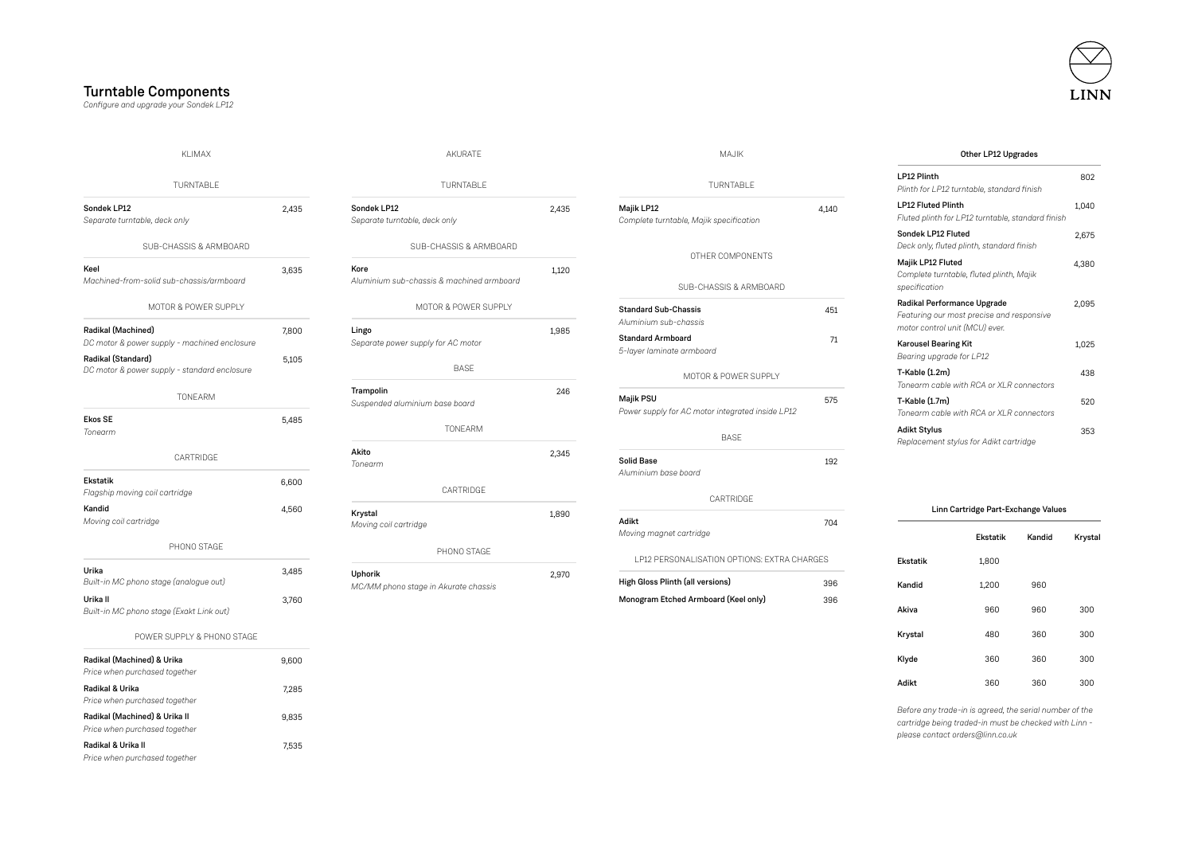## Turntable Components

*Configure and upgrade your Sondek LP12*

*Price when purchased together*

Radikal & Urika II 7,535

| <b>KLIMAX</b>                                                      |       | AKURATE                                           |
|--------------------------------------------------------------------|-------|---------------------------------------------------|
| TURNTABLE                                                          |       | TURNTABLE                                         |
| Sondek LP12<br>Separate turntable, deck only                       | 2.435 | Sondek LP12<br>Separate turntable, deck only      |
| SUB-CHASSIS & ARMBOARD                                             |       | SUB-CHASSIS & ARMBOARD                            |
| Keel<br>Machined-from-solid sub-chassis/armboard                   | 3,635 | Kore<br>Aluminium sub-chassis & machined armboard |
| MOTOR & POWER SUPPLY                                               |       | MOTOR & POWER SUPPLY                              |
| Radikal (Machined)<br>DC motor & power supply - machined enclosure | 7,800 | Lingo<br>Separate power supply for AC motor       |
| Radikal (Standard)<br>DC motor & power supply - standard enclosure | 5,105 | <b>BASE</b>                                       |
| <b>TONEARM</b>                                                     |       | Trampolin<br>Suspended aluminium base board       |
| <b>Ekos SE</b><br>Tonearm                                          | 5,485 | <b>TONEARM</b>                                    |
| CARTRIDGE                                                          |       | Akito<br>Tonearm                                  |
| <b>Ekstatik</b><br>Flagship moving coil cartridge                  | 6,600 | CARTRIDGE                                         |
| Kandid<br>Moving coil cartridge                                    | 4,560 | Krystal<br>Moving coil cartridge                  |
| PHONO STAGE                                                        |       | PHONO STAGE                                       |
| Urika<br>Built-in MC phono stage (analogue out)                    | 3,485 | Uphorik<br>MC/MM phono stage in Akurate chassis   |
| Urika II<br>Built-in MC phono stage (Exakt Link out)               | 3,760 |                                                   |
| POWER SUPPLY & PHONO STAGE                                         |       |                                                   |
| Radikal (Machined) & Urika<br>Price when purchased together        | 9,600 |                                                   |
| Radikal & Urika<br>Price when purchased together                   | 7,285 |                                                   |
| Radikal (Machined) & Urika II<br>Price when purchased together     | 9,835 |                                                   |

| <b>ANURALE</b>                                    |       |                       |
|---------------------------------------------------|-------|-----------------------|
| TURNTABLE                                         |       |                       |
| Sondek LP12<br>Separate turntable, deck only      | 2,435 | Ma<br>Cor             |
| SUB-CHASSIS & ARMBOARD                            |       |                       |
| Kore<br>Aluminium sub-chassis & machined armboard | 1,120 |                       |
| <b>MOTOR &amp; POWER SUPPLY</b>                   |       | Sta                   |
| Lingo<br>Separate power supply for AC motor       | 1,985 | Alu<br>Sta<br>$5 - h$ |
| <b>BASE</b>                                       |       |                       |
| Trampolin<br>Suspended aluminium base board       | 246   | Ma<br>$P_{O}$         |
| TONEARM                                           |       |                       |
| Akito<br>Tonearm                                  | 2,345 | Sol<br>Alu            |
| CARTRIDGE                                         |       |                       |
| Krystal<br>Moving coil cartridge                  | 1,890 | Adi<br>Mo             |
| PHONO STAGE                                       |       |                       |
| Uphorik<br>MC/MM phono stage in Akurate chassis   | 2,970 | Hig<br>Mo             |
|                                                   |       |                       |

| TURNTABI F                                                    |       |
|---------------------------------------------------------------|-------|
| Majik LP12<br>Complete turntable, Majik specification         | 4,140 |
| OTHER COMPONENTS                                              |       |
| SUB-CHASSIS & ARMBOARD                                        |       |
| <b>Standard Sub-Chassis</b><br>Aluminium sub-chassis          | 451   |
| <b>Standard Armboard</b><br>5-layer laminate armboard         | 71    |
| MOTOR & POWER SUPPLY                                          |       |
| Majik PSU<br>Power supply for AC motor integrated inside LP12 | 575   |
| <b>BASE</b>                                                   |       |
| Solid Base<br>Aluminium base board                            | 192   |
| CARTRIDGE                                                     |       |
| Adikt<br>Moving magnet cartridge                              | 704   |
| LP12 PERSONALISATION OPTIONS: EXTRA CHARGES                   |       |
| High Gloss Plinth (all versions)                              | 396   |
| Monogram Etched Armboard (Keel only)                          | 396   |

MAJIK

#### Other LP12 Upgrades

| LP12 Plinth<br>Plinth for LP12 turntable, standard finish                                                  | 802   |
|------------------------------------------------------------------------------------------------------------|-------|
| <b>LP12 Fluted Plinth</b><br>Fluted plinth for LP12 turntable, standard finish                             | 1.040 |
| Sondek LP12 Fluted<br>Deck only, fluted plinth, standard finish                                            | 2.675 |
| Majik LP12 Fluted<br>Complete turntable, fluted plinth, Majik<br>specification                             | 4.380 |
| Radikal Performance Upgrade<br>Featuring our most precise and responsive<br>motor control unit (MCU) ever. | 2.095 |
| <b>Karousel Bearing Kit</b><br>Bearing upgrade for LP12                                                    | 1.025 |
| T-Kable (1.2m)<br>Tonearm cable with RCA or XLR connectors                                                 | 438   |
| T-Kable (1.7m)<br>Tonearm cable with RCA or XI R connectors                                                | 520   |
| <b>Adikt Stylus</b><br>Replacement stylus for Adikt cartridge                                              | 353   |

#### Linn Cartridge Part-Exchange Values

|                 | <b>Fkstatik</b> | Kandid | Krystal |
|-----------------|-----------------|--------|---------|
| <b>Fkstatik</b> | 1,800           |        |         |
| Kandid          | 1,200           | 960    |         |
| Akiva           | 960             | 960    | 300     |
| Krystal         | 480             | 360    | 300     |
| Klyde           | 360             | 360    | 300     |
| Adikt           | 360             | 360    | 300     |

*Before any trade-in is agreed, the serial number of the cartridge being traded-in must be checked with Linn please contact orders@linn.co.uk*

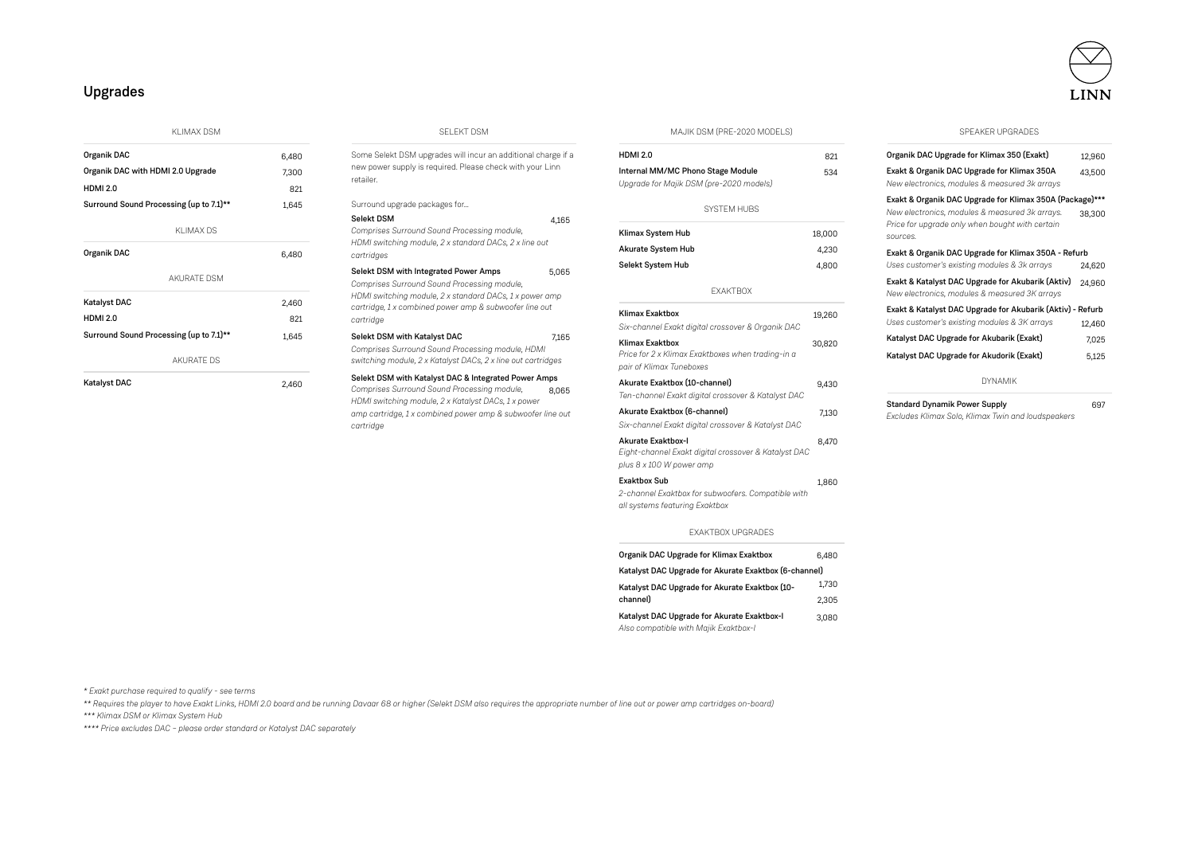## LINN

## Upgrades

KLIMAX DSM

| Organik DAC                             | 6,480 |
|-----------------------------------------|-------|
| Organik DAC with HDMI 2.0 Upgrade       | 7,300 |
| <b>HDMI 2.0</b>                         | 821   |
| Surround Sound Processing (up to 7.1)** | 1,645 |
| KI IMAX DS                              |       |
| Organik DAC                             | 6,480 |
| <b>AKURATE DSM</b>                      |       |
| <b>Katalyst DAC</b>                     | 2,460 |
| <b>HDMI 2.0</b>                         | 821   |
| Surround Sound Processing (up to 7.1)** | 1,645 |
| AKURATE DS                              |       |
| <b>Katalyst DAC</b>                     | 2.460 |

#### SELEKT DSM

Some Selekt DSM upgrades will incur an additional charge if a new power supply is required. Please check with your Linn retailer.

#### Surround upgrade packages for... Selekt DSM 4,165 *Comprises Surround Sound Processing module, HDMI switching module, 2 x standard DACs, 2 x line out cartridges* Selekt DSM with Integrated Power Amps 5,065 *Comprises Surround Sound Processing module, HDMI switching module, 2 x standard DACs, 1 x power amp cartridge, 1 x combined power amp & subwoofer line out cartridge* Selekt DSM with Katalyst DAC 7.165 *Comprises Surround Sound Processing module, HDMI switching module, 2 x Katalyst DACs, 2 x line out cartridges*

8,065 Selekt DSM with Katalyst DAC & Integrated Power Amps *Comprises Surround Sound Processing module, HDMI switching module, 2 x Katalyst DACs, 1 x power amp cartridge, 1 x combined power amp & subwoofer line out cartridge*

| MAJIK DSM (PRE-2020 MODELS) |  |  |
|-----------------------------|--|--|
|-----------------------------|--|--|

| <b>HDMI 2.0</b>                                                                                               | 821    |
|---------------------------------------------------------------------------------------------------------------|--------|
| Internal MM/MC Phono Stage Module<br>Upgrade for Majik DSM (pre-2020 models)                                  | 534    |
| SYSTEM HUBS                                                                                                   |        |
| Klimax System Hub                                                                                             | 18,000 |
| Akurate System Hub                                                                                            | 4,230  |
| Selekt System Hub                                                                                             | 4,800  |
| <b>FXAKTROX</b>                                                                                               |        |
| Klimax Exakthox<br>Six-channel Exakt digital crossover & Organik DAC                                          | 19,260 |
| <b>Klimax Exaktbox</b><br>Price for 2 x Klimax Exaktboxes when trading-in a<br>pair of Klimax Tuneboxes       | 30,820 |
| Akurate Exaktbox (10-channel)<br>Ten-channel Exakt digital crossover & Katalyst DAC                           | 9.430  |
| Akurate Exaktbox (6-channel)<br>Six-channel Exakt digital crossover & Katalyst DAC                            | 7,130  |
| <b>Akurate Exaktbox-I</b><br>Eight-channel Exakt digital crossover & Katalyst DAC<br>plus 8 x 100 W power amp | 8,470  |
| <b>Exaktbox Sub</b><br>2-channel Exaktbox for subwoofers. Compatible with<br>all systems featuring Exaktbox   | 1.860  |
| FXAKTROX UPGRADES                                                                                             |        |

Organik DAC Upgrade for Klimax Exaktbox 6,480

Katalyst DAC Upgrade for Akurate Exaktbox-I 3,080

Katalyst DAC Upgrade for Akurate Exaktbox (6-channel)

Katalyst DAC Upgrade for Akurate Exaktbox (10-

*Also compatible with Majik Exaktbox-I*

channel)

1,730

2,305

SPEAKER UPGRADES

| Organik DAC Upgrade for Klimax 350 (Exakt)                                                                                                                                | 12,960 |
|---------------------------------------------------------------------------------------------------------------------------------------------------------------------------|--------|
| Exakt & Organik DAC Upgrade for Klimax 350A<br>New electronics, modules & measured 3k arrays                                                                              | 43,500 |
| Exakt & Organik DAC Upgrade for Klimax 350A (Package)***<br>New electronics, modules & measured 3k arrays.<br>Price for upgrade only when bought with certain<br>sources. | 38,300 |
| Exakt & Organik DAC Upgrade for Klimax 350A - Refurb<br>Uses customer's existing modules & 3k arrays                                                                      | 24,620 |
| Exakt & Katalyst DAC Upgrade for Akubarik (Aktiv)<br>New electronics, modules & measured 3K arrays                                                                        | 24,960 |
| Exakt & Katalyst DAC Upgrade for Akubarik (Aktiv) - Refurb<br>Uses customer's existing modules & 3K arrays                                                                | 12,460 |
| Katalyst DAC Upgrade for Akubarik (Exakt)                                                                                                                                 | 7,025  |
| Katalyst DAC Upgrade for Akudorik (Exakt)                                                                                                                                 | 5,125  |
| <b>DYNAMIK</b>                                                                                                                                                            |        |
| Standard Dynamik Power Supply<br>Excludes Klimax Solo, Klimax Twin and loudspeakers                                                                                       | 697    |

*\* Exakt purchase required to qualify - see terms* 

*\*\*\* Klimax DSM or Klimax System Hub*

*\*\*\*\* Price excludes DAC – please order standard or Katalyst DAC separately*

*\*\* Requires the player to have Exakt Links, HDMI 2.0 board and be running Davaar 68 or higher (Selekt DSM also requires the appropriate number of line out or power amp cartridges on-board)*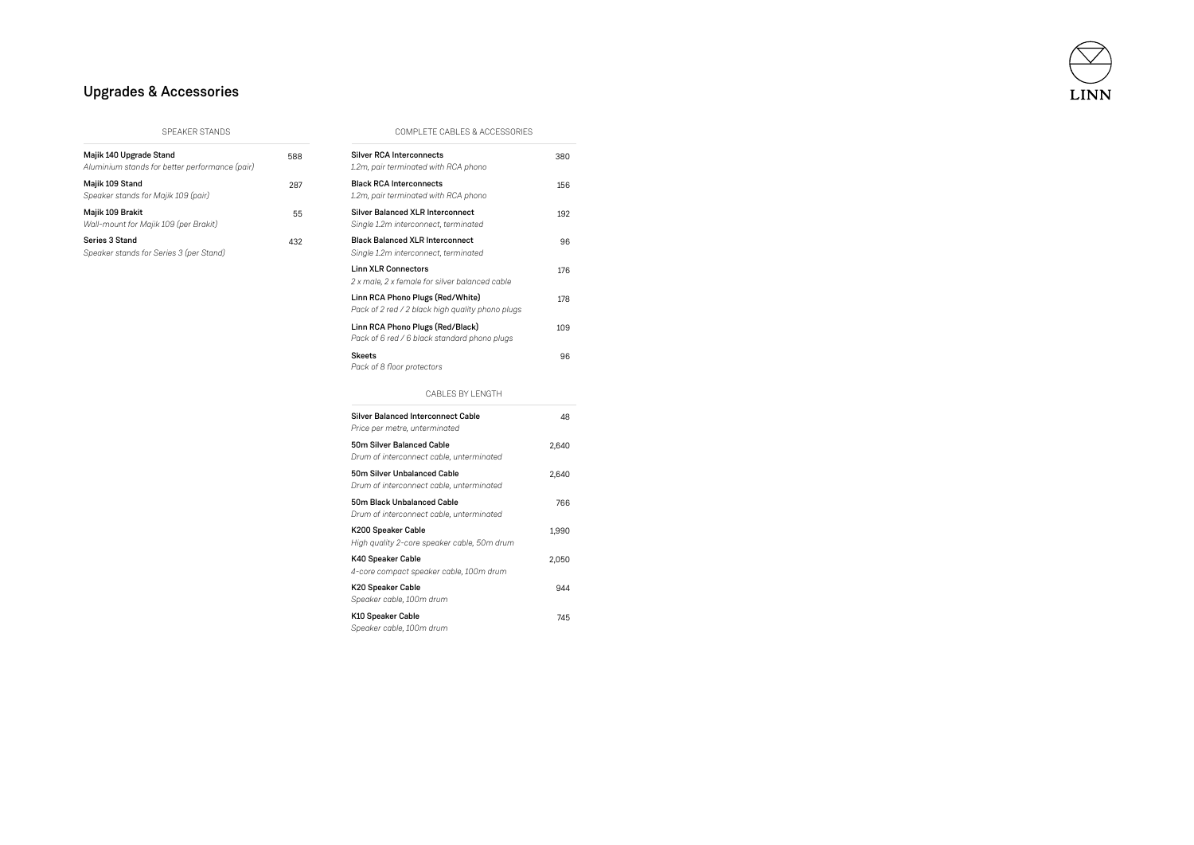

## Upgrades & Accessories

| Majik 140 Upgrade Stand<br>Aluminium stands for better performance (pair) | 588         |
|---------------------------------------------------------------------------|-------------|
| Majik 109 Stand<br>Speaker stands for Majik 109 (pair)                    | 287         |
| Majik 109 Brakit<br>Wall-mount for Majik 109 (per Brakit)                 | 55          |
| Series 3 Stand<br>Speaker stands for Series 3 (per Stand)                 | $\Delta$ 32 |

SPEAKER STANDS COMPLETE CABLES & ACCESSORIES

| <b>Silver RCA Interconnects</b><br>1.2m, pair terminated with RCA phono              | 380   |
|--------------------------------------------------------------------------------------|-------|
| <b>Black RCA Interconnects</b><br>1.2m, pair terminated with RCA phono               | 156   |
| Silver Balanced XI R Interconnect<br>Single 1.2m interconnect, terminated            | 192   |
| <b>Black Balanced XLR Interconnect</b><br>Single 1.2m interconnect, terminated       | 96    |
| Linn XLR Connectors<br>2 x male, 2 x female for silver balanced cable                | 176   |
| Linn RCA Phono Plugs (Red/White)<br>Pack of 2 red / 2 black high quality phono plugs | 178   |
| Linn RCA Phono Plugs (Red/Black)<br>Pack of 6 red / 6 black standard phono plugs     | 109   |
| <b>Skeets</b><br>Pack of 8 floor protectors                                          | 96    |
| CABLES BY LENGTH                                                                     |       |
| Silver Balanced Interconnect Cable<br>Price per metre, unterminated                  | 48    |
| 50m Silver Balanced Cable                                                            | 2.640 |

| Drum of interconnect cable, unterminated                                |       |
|-------------------------------------------------------------------------|-------|
| 50m Silver Unbalanced Cable<br>Drum of interconnect cable, unterminated | 2.640 |
| 50m Black Unbalanced Cable<br>Drum of interconnect cable, unterminated  | 766   |
| K200 Speaker Cable<br>High quality 2-core speaker cable, 50m drum       | 1.990 |
| K40 Speaker Cable<br>4-core compact speaker cable, 100m drum            | 2.050 |
| K20 Speaker Cable<br>Speaker cable, 100m drum                           | 944   |
| K10 Speaker Cable<br>Speaker cable, 100m drum                           | 745   |